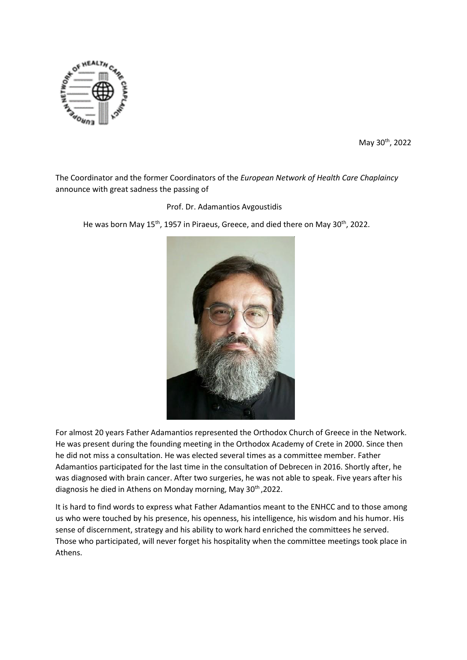

May 30th, 2022

The Coordinator and the former Coordinators of the *European Network of Health Care Chaplaincy* announce with great sadness the passing of

Prof. Dr. Adamantios Avgoustidis

He was born May 15<sup>th</sup>, 1957 in Piraeus, Greece, and died there on May 30<sup>th</sup>, 2022.



For almost 20 years Father Adamantios represented the Orthodox Church of Greece in the Network. He was present during the founding meeting in the Orthodox Academy of Crete in 2000. Since then he did not miss a consultation. He was elected several times as a committee member. Father Adamantios participated for the last time in the consultation of Debrecen in 2016. Shortly after, he was diagnosed with brain cancer. After two surgeries, he was not able to speak. Five years after his diagnosis he died in Athens on Monday morning, May 30<sup>th</sup>, 2022.

It is hard to find words to express what Father Adamantios meant to the ENHCC and to those among us who were touched by his presence, his openness, his intelligence, his wisdom and his humor. His sense of discernment, strategy and his ability to work hard enriched the committees he served. Those who participated, will never forget his hospitality when the committee meetings took place in Athens.